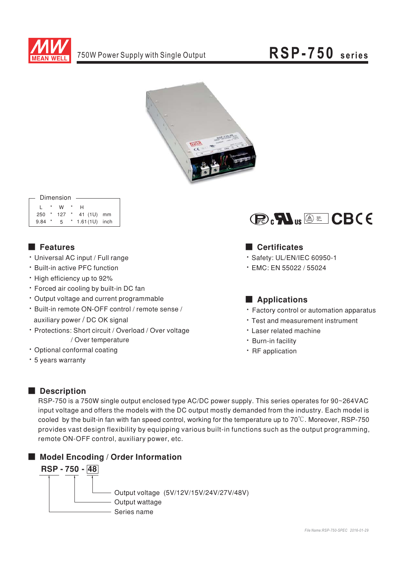

# RSP-750 series



|      |         | Dimension   |         |               |  |
|------|---------|-------------|---------|---------------|--|
|      |         |             |         |               |  |
|      | $\star$ | W           | $\star$ | н             |  |
| 250  |         | $*$ 127 $*$ |         | 41 (1U) mm    |  |
| 9.84 | $\star$ | 5           |         | 1.61(1U) inch |  |
|      |         |             |         |               |  |

## **Executer** Features

- · Universal AC input / Full range
- \* Built-in active PFC function
- High efficiency up to 92%
- · Forced air cooling by built-in DC fan
- · Output voltage and current programmable
- · Built-in remote ON-OFF control / remote sense / auxiliary power / DC OK signal
- · Protections: Short circuit / Overload / Over voltage / Over temperature
- · Optional conformal coating
- \* 5 years warranty



### **Certificates**

- · Safety: UL/EN/IEC 60950-1
- $\cdot$  EMC: EN 55022 / 55024

## Applications

- Factory control or automation apparatus
- Test and measurement instrument
- Laser related machine
- · Burn-in facility
- · RF application

## Description

RSP-750 is a 750W single output enclosed type AC/DC power supply. This series operates for 90~264VAC input voltage and offers the models with the DC output mostly demanded from the industry. Each model is cooled by the built-in fan with fan speed control, working for the temperature up to 70°C. Moreover, RSP-750 provides vast design flexibility by equipping various built-in functions such as the output programming, remote ON-OFF control, auxiliary power, etc.

## Model Encoding / Order Information

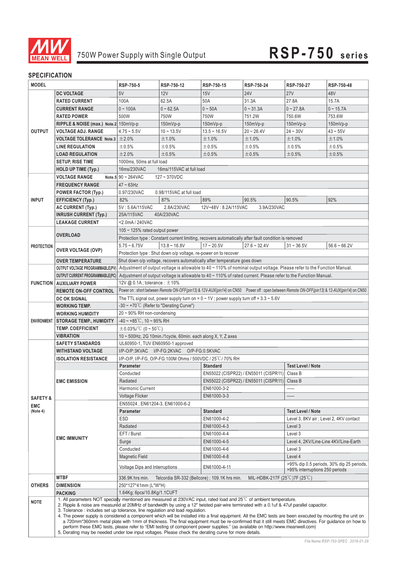

# 750W Power Supply with Single Output **RSP-750 series**

### **SPECIFICATION**

| <b>MODEL</b>        |                                                                                                                                                                                                                                                                                                                                                                                                                                                                                                               | RSP-750-5                                            | RSP-750-12                                                                                        | RSP-750-15                 | RSP-750-24                                                                                                             | RSP-750-27                     | RSP-750-48                                                                                                                                   |
|---------------------|---------------------------------------------------------------------------------------------------------------------------------------------------------------------------------------------------------------------------------------------------------------------------------------------------------------------------------------------------------------------------------------------------------------------------------------------------------------------------------------------------------------|------------------------------------------------------|---------------------------------------------------------------------------------------------------|----------------------------|------------------------------------------------------------------------------------------------------------------------|--------------------------------|----------------------------------------------------------------------------------------------------------------------------------------------|
|                     | <b>DC VOLTAGE</b>                                                                                                                                                                                                                                                                                                                                                                                                                                                                                             | 5V                                                   | 12V                                                                                               | 15V                        | <b>24V</b>                                                                                                             | <b>27V</b>                     | 48V                                                                                                                                          |
|                     | <b>RATED CURRENT</b>                                                                                                                                                                                                                                                                                                                                                                                                                                                                                          | 100A                                                 | 62.5A                                                                                             | 50A                        | 31.3A                                                                                                                  | 27.8A                          | 15.7A                                                                                                                                        |
|                     | <b>CURRENT RANGE</b>                                                                                                                                                                                                                                                                                                                                                                                                                                                                                          | $0 - 100A$                                           | $0 - 62.5A$                                                                                       | $0 - 50A$                  | $0 - 31.3A$                                                                                                            | $0 - 27.8A$                    | $0 - 15.7A$                                                                                                                                  |
|                     | <b>RATED POWER</b>                                                                                                                                                                                                                                                                                                                                                                                                                                                                                            | 500W                                                 | 750W                                                                                              | 750W                       | 751.2W                                                                                                                 | 750.6W                         | 753.6W                                                                                                                                       |
|                     | RIPPLE & NOISE (max.) Note.2 150mVp-p                                                                                                                                                                                                                                                                                                                                                                                                                                                                         |                                                      | $150mVp-p$                                                                                        | 150mVp-p                   | 150mVp-p                                                                                                               | 150mVp-p                       | 150mVp-p                                                                                                                                     |
| <b>OUTPUT</b>       | <b>VOLTAGE ADJ. RANGE</b>                                                                                                                                                                                                                                                                                                                                                                                                                                                                                     | $4.75 - 5.5V$                                        | $10 - 13.5V$                                                                                      | $13.5 - 16.5V$             | $20 - 26.4V$                                                                                                           | $24 - 30V$                     | $43 - 55V$                                                                                                                                   |
|                     | <b>VOLTAGE TOLERANCE Note.3</b>                                                                                                                                                                                                                                                                                                                                                                                                                                                                               | ±2.0%                                                | ±1.0%                                                                                             | ±1.0%                      | $±1.0\%$                                                                                                               | ±1.0%                          | ±1.0%                                                                                                                                        |
|                     | <b>LINE REGULATION</b>                                                                                                                                                                                                                                                                                                                                                                                                                                                                                        | ±0.5%                                                | $\pm 0.5\%$                                                                                       | $\pm 0.5\%$                | $\pm 0.5\%$                                                                                                            | $\pm 0.5\%$                    | ±0.5%                                                                                                                                        |
|                     | <b>LOAD REGULATION</b>                                                                                                                                                                                                                                                                                                                                                                                                                                                                                        | ±2.0%                                                | ±0.5%                                                                                             | ±0.5%                      | ±0.5%                                                                                                                  | ±0.5%                          | ±0.5%                                                                                                                                        |
|                     | <b>SETUP, RISE TIME</b>                                                                                                                                                                                                                                                                                                                                                                                                                                                                                       | 1000ms, 50ms at full load                            |                                                                                                   |                            |                                                                                                                        |                                |                                                                                                                                              |
|                     | <b>HOLD UP TIME (Typ.)</b>                                                                                                                                                                                                                                                                                                                                                                                                                                                                                    | 16ms/230VAC                                          | 16ms/115VAC at full load                                                                          |                            |                                                                                                                        |                                |                                                                                                                                              |
|                     | <b>VOLTAGE RANGE</b>                                                                                                                                                                                                                                                                                                                                                                                                                                                                                          | Note.5 $90 \sim 264$ VAC                             | $127 - 370$ VDC                                                                                   |                            |                                                                                                                        |                                |                                                                                                                                              |
|                     | <b>FREQUENCY RANGE</b>                                                                                                                                                                                                                                                                                                                                                                                                                                                                                        | $47 - 63$ Hz                                         |                                                                                                   |                            |                                                                                                                        |                                |                                                                                                                                              |
|                     | <b>POWER FACTOR (Typ.)</b>                                                                                                                                                                                                                                                                                                                                                                                                                                                                                    | 0.97/230VAC                                          | 0.98/115VAC at full load                                                                          |                            |                                                                                                                        |                                |                                                                                                                                              |
| <b>INPUT</b>        | <b>EFFICIENCY (Typ.)</b>                                                                                                                                                                                                                                                                                                                                                                                                                                                                                      | 82%                                                  | 87%                                                                                               | 89%                        | 90.5%                                                                                                                  | 90.5%                          | 92%                                                                                                                                          |
|                     | <b>AC CURRENT (Typ.)</b>                                                                                                                                                                                                                                                                                                                                                                                                                                                                                      | 5V: 5.6A/115VAC                                      | 2.8A/230VAC                                                                                       | 12V~48V: 8.2A/115VAC       | 3.9A/230VAC                                                                                                            |                                |                                                                                                                                              |
|                     | <b>INRUSH CURRENT (Typ.)</b>                                                                                                                                                                                                                                                                                                                                                                                                                                                                                  | 25A/115VAC                                           | 40A/230VAC                                                                                        |                            |                                                                                                                        |                                |                                                                                                                                              |
|                     | <b>LEAKAGE CURRENT</b>                                                                                                                                                                                                                                                                                                                                                                                                                                                                                        | <2.0mA / 240VAC                                      |                                                                                                   |                            |                                                                                                                        |                                |                                                                                                                                              |
|                     |                                                                                                                                                                                                                                                                                                                                                                                                                                                                                                               | 105 $\sim$ 125% rated output power                   |                                                                                                   |                            |                                                                                                                        |                                |                                                                                                                                              |
|                     | <b>OVERLOAD</b>                                                                                                                                                                                                                                                                                                                                                                                                                                                                                               |                                                      |                                                                                                   |                            | Protection type : Constant current limiting, recovers automatically after fault condition is removed                   |                                |                                                                                                                                              |
| <b>PROTECTION</b>   |                                                                                                                                                                                                                                                                                                                                                                                                                                                                                                               | $5.75 - 6.75V$                                       | $13.8 - 16.8V$                                                                                    | $17 - 20.5V$               | $27.6 - 32.4V$                                                                                                         | $31 - 36.5V$                   | $56.6 - 66.2V$                                                                                                                               |
|                     | <b>OVER VOLTAGE (OVP)</b>                                                                                                                                                                                                                                                                                                                                                                                                                                                                                     |                                                      | Protection type : Shut down o/p voltage, re-power on to recover                                   |                            |                                                                                                                        |                                |                                                                                                                                              |
|                     | <b>OVER TEMPERATURE</b>                                                                                                                                                                                                                                                                                                                                                                                                                                                                                       |                                                      | Shut down o/p voltage, recovers automatically after temperature goes down                         |                            |                                                                                                                        |                                |                                                                                                                                              |
|                     | OUTPUT VOLTAGE PROGRAMMABLE(PV)                                                                                                                                                                                                                                                                                                                                                                                                                                                                               |                                                      |                                                                                                   |                            | Adjustment of output voltage is allowable to 40 ~ 110% of nominal output voltage. Please refer to the Function Manual. |                                |                                                                                                                                              |
|                     | <b>OUTPUT CURRENT PROGRAMMABLE(PC)</b>                                                                                                                                                                                                                                                                                                                                                                                                                                                                        |                                                      |                                                                                                   |                            | Adjustment of output voltage is allowable to 40 ~ 110% of rated current. Please refer to the Function Manual.          |                                |                                                                                                                                              |
|                     | <b>FUNCTION   AUXILIARY POWER</b>                                                                                                                                                                                                                                                                                                                                                                                                                                                                             | 12V @ 0.1A; tolerance: ±10%                          |                                                                                                   |                            |                                                                                                                        |                                |                                                                                                                                              |
|                     | <b>REMOTE ON-OFF CONTROL</b>                                                                                                                                                                                                                                                                                                                                                                                                                                                                                  |                                                      |                                                                                                   |                            |                                                                                                                        |                                | Power on : short between Remote ON-OFF(pin13) & 12V-AUX(pin14) on CN50 Power off : open between Remote ON-OFF(pin13) & 12-AUX(pin14) on CN50 |
|                     | <b>DC OK SIGNAL</b>                                                                                                                                                                                                                                                                                                                                                                                                                                                                                           |                                                      | The TTL signal out, power supply turn on = $0 \sim 1$ V; power supply turn off = $3.3 \sim 5.6$ V |                            |                                                                                                                        |                                |                                                                                                                                              |
|                     | <b>WORKING TEMP.</b>                                                                                                                                                                                                                                                                                                                                                                                                                                                                                          | $-30 \sim +70^{\circ}$ C (Refer to "Derating Curve") |                                                                                                   |                            |                                                                                                                        |                                |                                                                                                                                              |
|                     | <b>WORKING HUMIDITY</b>                                                                                                                                                                                                                                                                                                                                                                                                                                                                                       | $20 \sim 90\%$ RH non-condensing                     |                                                                                                   |                            |                                                                                                                        |                                |                                                                                                                                              |
| <b>ENVIRONMENT</b>  | <b>STORAGE TEMP., HUMIDITY</b>                                                                                                                                                                                                                                                                                                                                                                                                                                                                                | $-40 \sim +85^{\circ}$ C, 10 ~ 95% RH                |                                                                                                   |                            |                                                                                                                        |                                |                                                                                                                                              |
|                     | <b>TEMP. COEFFICIENT</b>                                                                                                                                                                                                                                                                                                                                                                                                                                                                                      | $\pm$ 0.03%/°C (0~50°C)                              |                                                                                                   |                            |                                                                                                                        |                                |                                                                                                                                              |
|                     | <b>VIBRATION</b>                                                                                                                                                                                                                                                                                                                                                                                                                                                                                              |                                                      | 10 ~ 500Hz, 2G 10min./1cycle, 60min. each along X, Y, Z axes                                      |                            |                                                                                                                        |                                |                                                                                                                                              |
|                     | <b>SAFETY STANDARDS</b>                                                                                                                                                                                                                                                                                                                                                                                                                                                                                       | UL60950-1, TUV EN60950-1 approved                    |                                                                                                   |                            |                                                                                                                        |                                |                                                                                                                                              |
|                     | <b>WITHSTAND VOLTAGE</b>                                                                                                                                                                                                                                                                                                                                                                                                                                                                                      |                                                      | I/P-O/P:3KVAC I/P-FG:2KVAC O/P-FG:0.5KVAC                                                         |                            |                                                                                                                        |                                |                                                                                                                                              |
|                     | <b>ISOLATION RESISTANCE</b>                                                                                                                                                                                                                                                                                                                                                                                                                                                                                   |                                                      | I/P-O/P, I/P-FG, O/P-FG:100M Ohms / 500VDC / 25°C/70% RH                                          |                            |                                                                                                                        |                                |                                                                                                                                              |
|                     |                                                                                                                                                                                                                                                                                                                                                                                                                                                                                                               | Parameter                                            |                                                                                                   | <b>Standard</b>            |                                                                                                                        | <b>Test Level / Note</b>       |                                                                                                                                              |
|                     |                                                                                                                                                                                                                                                                                                                                                                                                                                                                                                               | Conducted                                            |                                                                                                   |                            | EN55022 (CISPR22) / EN55011 (CISPR11)                                                                                  | Class B                        |                                                                                                                                              |
|                     | <b>EMC EMISSION</b>                                                                                                                                                                                                                                                                                                                                                                                                                                                                                           | Radiated                                             |                                                                                                   |                            | EN55022 (CISPR22) / EN55011 (CISPR11) Class B                                                                          |                                |                                                                                                                                              |
|                     |                                                                                                                                                                                                                                                                                                                                                                                                                                                                                                               | Harmonic Current<br><b>Voltage Flicker</b>           |                                                                                                   | EN61000-3-2<br>EN61000-3-3 |                                                                                                                        | -----<br>-----                 |                                                                                                                                              |
| <b>SAFETY &amp;</b> |                                                                                                                                                                                                                                                                                                                                                                                                                                                                                                               | EN55024, EN61204-3, EN61000-6-2                      |                                                                                                   |                            |                                                                                                                        |                                |                                                                                                                                              |
| EMC<br>(Note 4)     |                                                                                                                                                                                                                                                                                                                                                                                                                                                                                                               | <b>Parameter</b>                                     |                                                                                                   | <b>Standard</b>            |                                                                                                                        | <b>Test Level / Note</b>       |                                                                                                                                              |
|                     |                                                                                                                                                                                                                                                                                                                                                                                                                                                                                                               | ESD                                                  |                                                                                                   | EN61000-4-2                |                                                                                                                        |                                | Level 3, 8KV air ; Level 2, 4KV contact                                                                                                      |
|                     |                                                                                                                                                                                                                                                                                                                                                                                                                                                                                                               | Radiated                                             |                                                                                                   | EN61000-4-3                |                                                                                                                        | Level 3                        |                                                                                                                                              |
|                     |                                                                                                                                                                                                                                                                                                                                                                                                                                                                                                               | EFT / Burst                                          |                                                                                                   | EN61000-4-4                |                                                                                                                        | Level 3                        |                                                                                                                                              |
|                     | <b>EMC IMMUNITY</b>                                                                                                                                                                                                                                                                                                                                                                                                                                                                                           | Surge                                                |                                                                                                   | EN61000-4-5                |                                                                                                                        |                                | Level 4, 2KV/Line-Line 4KV/Line-Earth                                                                                                        |
|                     |                                                                                                                                                                                                                                                                                                                                                                                                                                                                                                               | Conducted                                            |                                                                                                   | EN61000-4-6                |                                                                                                                        | Level 3                        |                                                                                                                                              |
|                     |                                                                                                                                                                                                                                                                                                                                                                                                                                                                                                               | <b>Magnetic Field</b>                                |                                                                                                   | EN61000-4-8                |                                                                                                                        | Level 4                        |                                                                                                                                              |
|                     |                                                                                                                                                                                                                                                                                                                                                                                                                                                                                                               |                                                      |                                                                                                   |                            |                                                                                                                        |                                | >95% dip 0.5 periods, 30% dip 25 periods,                                                                                                    |
|                     |                                                                                                                                                                                                                                                                                                                                                                                                                                                                                                               | <b>Voltage Dips and Interruptions</b>                |                                                                                                   | EN61000-4-11               |                                                                                                                        | >95% interruptions 250 periods |                                                                                                                                              |
|                     | <b>MTBF</b>                                                                                                                                                                                                                                                                                                                                                                                                                                                                                                   | 336.9K hrs min.                                      | Telcordia SR-332 (Bellcore); 109.1K hrs min.                                                      |                            | MIL-HDBK-217F (25°C)7F (25°C)                                                                                          |                                |                                                                                                                                              |
| <b>OTHERS</b>       | <b>DIMENSION</b>                                                                                                                                                                                                                                                                                                                                                                                                                                                                                              | 250*127*41mm (L*W*H)                                 |                                                                                                   |                            |                                                                                                                        |                                |                                                                                                                                              |
|                     | <b>PACKING</b>                                                                                                                                                                                                                                                                                                                                                                                                                                                                                                | 1.64Kg; 6pcs/10.8Kg/1.1CUFT                          |                                                                                                   |                            |                                                                                                                        |                                |                                                                                                                                              |
| <b>NOTE</b>         | 1. All parameters NOT specially mentioned are measured at 230VAC input, rated load and 25°C of ambient temperature.<br>2. Ripple & noise are measured at 20MHz of bandwidth by using a 12" twisted pair-wire terminated with a 0.1uf & 47uf parallel capacitor.<br>3. Tolerance: includes set up tolerance, line regulation and load regulation.<br>4. The power supply is considered a component which will be installed into a final equipment. All the EMC tests are been executed by mounting the unit on |                                                      |                                                                                                   |                            |                                                                                                                        |                                |                                                                                                                                              |
|                     | a 720mm*360mm metal plate with 1mm of thickness. The final equipment must be re-confirmed that it still meets EMC directives. For guidance on how to<br>perform these EMC tests, please refer to "EMI testing of component power supplies." (as available on http://www.meanwell.com)<br>5. Derating may be needed under low input voltages. Please check the derating curve for more details.                                                                                                                |                                                      |                                                                                                   |                            |                                                                                                                        |                                |                                                                                                                                              |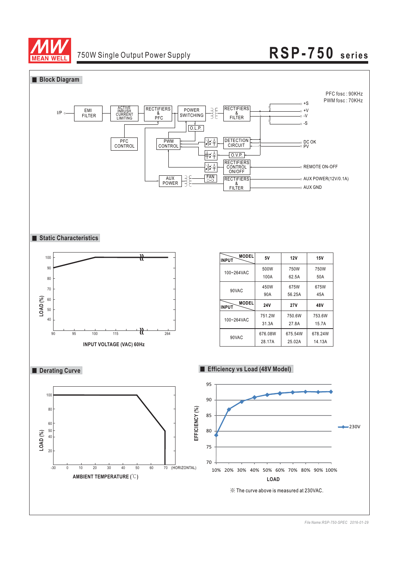



*File Name:RSP-750-SPEC 2016-01-29*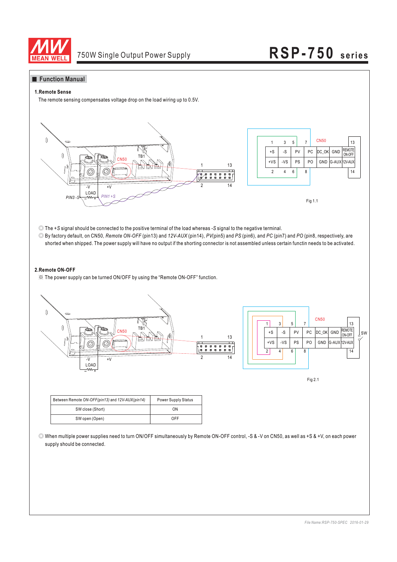

#### **Function Manual**

#### **1.Remote Sense**

The remote sensing compensates voltage drop on the load wiring up to 0.5V.



© The +S signal should be connected to the positive terminal of the load whereas -S signal to the negative terminal.

© By factory default, on CN50, Remote ON-OFF (pin13) and 12V-AUX (pin14), PV(pin5) and PS (pin6), and PC (pin7) and PO (pin8, respectively, are shorted when shipped. The power supply will have no output if the shorting connector is not assembled unless certain functin needs to be activated.

#### **2.Remote ON-OFF**

※ The power supply can be turned ON/OFF by using the "Remote ON-OFF" function.



| ×<br>۰, |
|---------|
|---------|

| Between Remote ON-OFF(pin13) and 12V-AUX(pin14) | <b>Power Supply Status</b> |
|-------------------------------------------------|----------------------------|
| SW close (Short)                                | ON                         |
| SW open (Open)                                  | OFF                        |

◎ When multiple power supplies need to turn ON/OFF simultaneously by Remote ON-OFF control, -S & -V on CN50, as well as +S & +V, on each power supply should be connected.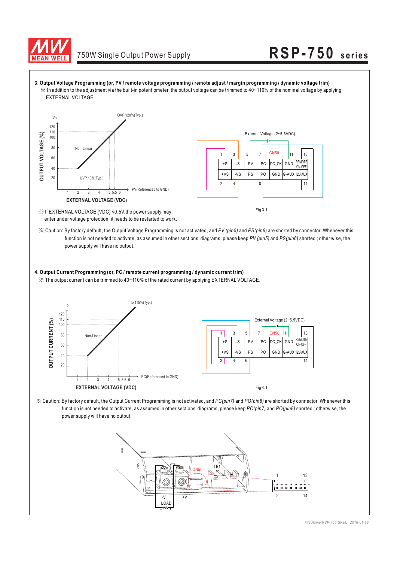



function is not needed to activate, as assumed in other sections' diagrams, please keep PV (pin5) and PS(pin6) shorted; other wise, the power supply will have no output.

#### **4. Output Current Programming (or, PC / remote current programming / dynamic current trim)**

※ The output current can be trimmed to 40~110% of the rated current by applying EXTERNAL VOLTAGE.



 $\%$  Caution: By factory default, the Output Current Programming is not activated, and *PC(pin7)* and *PO(pin8)* are shorted by connector. Whenever this function is not needed to activate, as assumed in other sections' diagrams, please keep PC(pin7) and PO(pin8) shorted ; otherwise, the power supply will have no output.

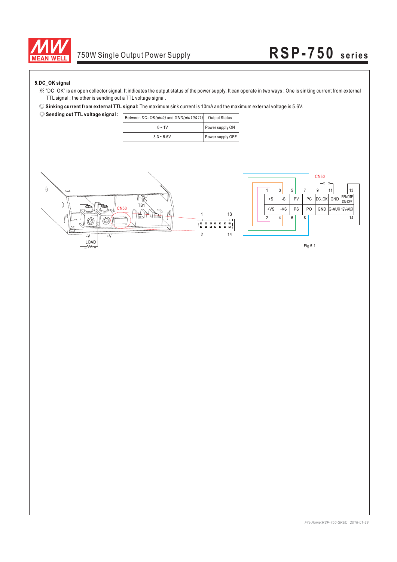

#### **5.DC\_OK signal**

- ※ "DC\_OK" is an open collector signal. It indicates the output status of the power supply. It can operate in two ways : One is sinking current from external TTL signal ; the other is sending out a TTL voltage signal.
- ◎ **Sinking current from external TTL signal:** The maximum sink current is 10mA and the maximum external voltage is 5.6V.

| Sending out TTL voltage signal : [ |                                                      |  |
|------------------------------------|------------------------------------------------------|--|
|                                    | Between DC- OK(pin9) and GND(pin10&11) Output Status |  |
|                                    |                                                      |  |

| $B$ between $D G$ - $O K(p)$ and $O K(p)$ $O K(p)$ | <b>Output Status</b> |
|----------------------------------------------------|----------------------|
| $0 - 1V$                                           | Power supply ON      |
| $3.3 - 5.6V$                                       | Power supply OFF     |

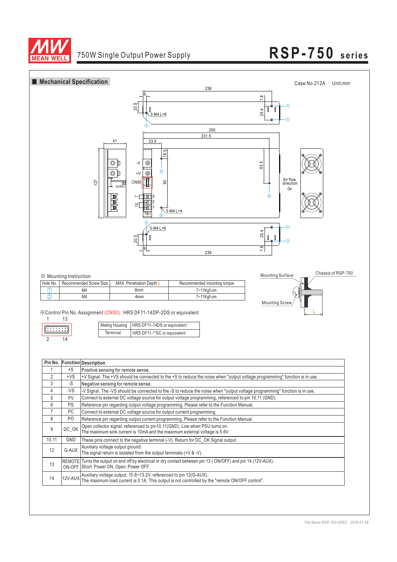